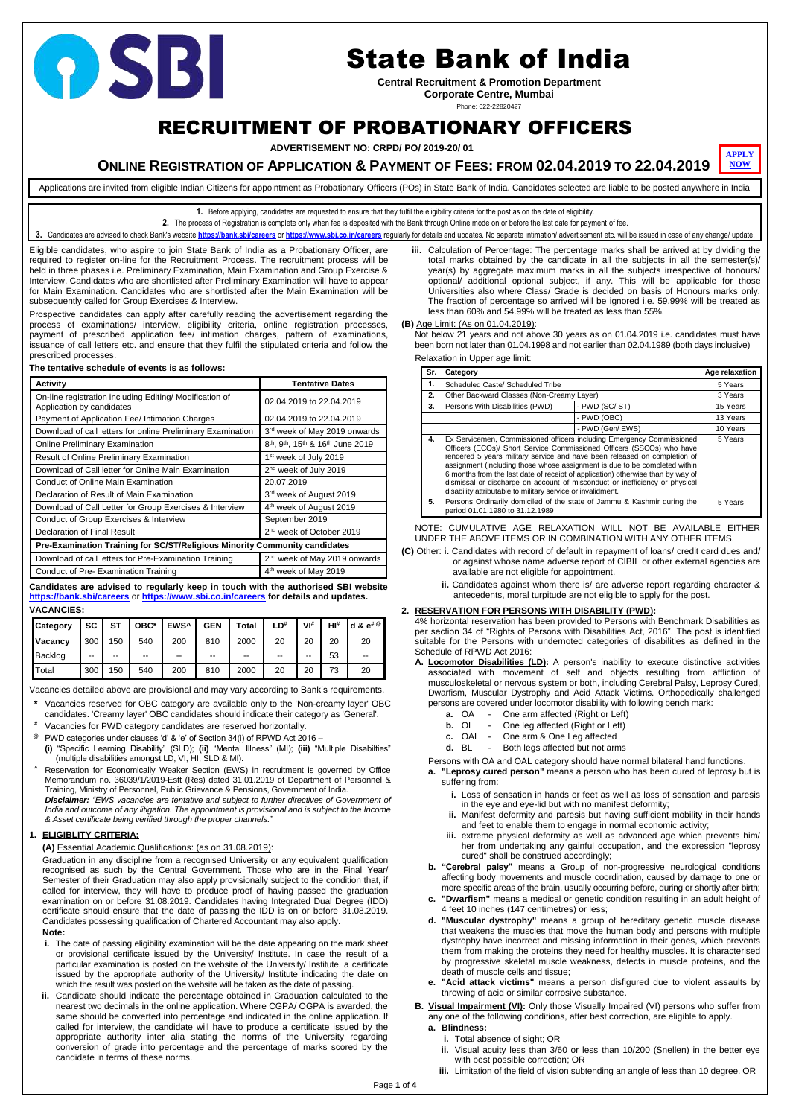Page **1** of **4**

## RECRUITMENT OF PROBATIONARY OFFICERS

**ADVERTISEMENT NO: CRPD/ PO/ 2019-20/ 01**

**1.** Before applying, candidates are requested to ensure that they fulfil the eligibility criteria for the post as on the date of eligibility.

**2.** The process of Registration is complete only when fee is deposited with the Bank through Online mode on or before the last date for payment of fee.

3. Candidates are advised to check Bank's website <https://bank.sbi/careers> or <https://www.sbi.co.in/careers> regularly for details and updates. No separate intimation/ advertisement etc. will be issued in case of any change

Eligible candidates, who aspire to join State Bank of India as a Probationary Officer, are required to register on-line for the Recruitment Process. The recruitment process will be held in three phases i.e. Preliminary Examination, Main Examination and Group Exercise & Interview. Candidates who are shortlisted after Preliminary Examination will have to appear for Main Examination. Candidates who are shortlisted after the Main Examination will be subsequently called for Group Exercises & Interview.

Prospective candidates can apply after carefully reading the advertisement regarding the process of examinations/ interview, eligibility criteria, online registration processes, payment of prescribed application fee/ intimation charges, pattern of examinations, issuance of call letters etc. and ensure that they fulfil the stipulated criteria and follow the prescribed processes.

| The tentative schedule of events is as follows: |  |
|-------------------------------------------------|--|
|-------------------------------------------------|--|

| <b>Activity</b>                                                                      | <b>Tentative Dates</b>                                                            |
|--------------------------------------------------------------------------------------|-----------------------------------------------------------------------------------|
| On-line registration including Editing/ Modification of<br>Application by candidates | 02.04.2019 to 22.04.2019                                                          |
| Payment of Application Fee/ Intimation Charges                                       | 02.04.2019 to 22.04.2019                                                          |
| Download of call letters for online Preliminary Examination                          | 3 <sup>rd</sup> week of May 2019 onwards                                          |
| <b>Online Preliminary Examination</b>                                                | 8 <sup>th</sup> , 9 <sup>th</sup> , 15 <sup>th</sup> & 16 <sup>th</sup> June 2019 |
| <b>Result of Online Preliminary Examination</b>                                      | 1 <sup>st</sup> week of July 2019                                                 |
| Download of Call letter for Online Main Examination                                  | 2 <sup>nd</sup> week of July 2019                                                 |
| Conduct of Online Main Examination                                                   | 20.07.2019                                                                        |
| Declaration of Result of Main Examination                                            | 3 <sup>rd</sup> week of August 2019                                               |
| Download of Call Letter for Group Exercises & Interview                              | 4 <sup>th</sup> week of August 2019                                               |
| Conduct of Group Exercises & Interview                                               | September 2019                                                                    |
| Declaration of Final Result                                                          | 2 <sup>nd</sup> week of October 2019                                              |
| Pre-Examination Training for SC/ST/Religious Minority Community candidates           |                                                                                   |
| Download of call letters for Pre-Examination Training                                | 2 <sup>nd</sup> week of May 2019 onwards                                          |
| Conduct of Pre-Examination Training                                                  | 4 <sup>th</sup> week of May 2019                                                  |

**Candidates are advised to regularly keep in touch with the authorised SBI website <https://bank.sbi/careers>** or **<https://www.sbi.co.in/careers> for details and updates.**

| <b>VACANCIES:</b> |  |
|-------------------|--|
|-------------------|--|

| <b>Category</b> | <b>SC</b> | <b>ST</b> | OBC*  | EWS <sup>^</sup> | <b>GEN</b> | <b>Total</b> | LD# | VI# | $H I^*$ | d & $e^{\# \mathcal{Q}}$ |
|-----------------|-----------|-----------|-------|------------------|------------|--------------|-----|-----|---------|--------------------------|
| <b>Vacancy</b>  | 300       | 150       | 540   | 200              | 810        | 2000         | 20  | 20  | 20      | 20                       |
| Backlog         | $- -$     | --        | $- -$ | --               | $- -$      | $- -$        | --  | --  | 53      | $-$                      |
| Total           | 300       | 150       | 540   | 200              | 810        | 2000         | 20  | 20  | 73      | 20                       |

Vacancies detailed above are provisional and may vary according to Bank's requirements.

- **\*** Vacancies reserved for OBC category are available only to the 'Non-creamy layer' OBC candidates. 'Creamy layer' OBC candidates should indicate their category as 'General'.
- **#** Vacancies for PWD category candidates are reserved horizontally.
- **@** PWD categories under clauses 'd' & 'e' of Section 34(i) of RPWD Act 2016 –
- **(i)** "Specific Learning Disability" (SLD); **(ii)** "Mental Illness" (MI); **(iii)** "Multiple Disabilties" (multiple disabilities amongst LD, VI, HI, SLD & MI).
- **^** Reservation for Economically Weaker Section (EWS) in recruitment is governed by Office Memorandum no. 36039/1/2019-Estt (Res) dated 31.01.2019 of Department of Personnel & Training, Ministry of Personnel, Public Grievance & Pensions, Government of India.

*Disclaimer: "EWS vacancies are tentative and subject to further directives of Government of India and outcome of any litigation. The appointment is provisional and is subject to the Income & Asset certificate being verified through the proper channels."*

#### **1. ELIGIBLITY CRITERIA:**

#### **(A)** Essential Academic Qualifications: (as on 31.08.2019):

Graduation in any discipline from a recognised University or any equivalent qualification recognised as such by the Central Government. Those who are in the Final Year/ Semester of their Graduation may also apply provisionally subject to the condition that, if called for interview, they will have to produce proof of having passed the graduation examination on or before 31.08.2019. Candidates having Integrated Dual Degree (IDD) certificate should ensure that the date of passing the IDD is on or before 31.08.2019. Candidates possessing qualification of Chartered Accountant may also apply.

#### **Note:**

- **i.** The date of passing eligibility examination will be the date appearing on the mark sheet or provisional certificate issued by the University/ Institute. In case the result of a particular examination is posted on the website of the University/ Institute, a certificate issued by the appropriate authority of the University/ Institute indicating the date on which the result was posted on the website will be taken as the date of passing.
- **ii.** Candidate should indicate the percentage obtained in Graduation calculated to the nearest two decimals in the online application. Where CGPA/ OGPA is awarded, the same should be converted into percentage and indicated in the online application. If called for interview, the candidate will have to produce a certificate issued by the appropriate authority inter alia stating the norms of the University regarding conversion of grade into percentage and the percentage of marks scored by the candidate in terms of these norms.

#### **ONLINE REGISTRATION OF APPLICATION & PAYMENT OF FEES: FROM 02.04.2019 TO 22.04.2019 [NOW](https://ibpsonline.ibps.in/sbiposmar19/)**

Applications are invited from eligible Indian Citizens for appointment as Probationary Officers (POs) in State Bank of India. Candidates selected are liable to be posted anywhere in India

**iii.** Calculation of Percentage: The percentage marks shall be arrived at by dividing the total marks obtained by the candidate in all the subjects in all the semester(s)/ year(s) by aggregate maximum marks in all the subjects irrespective of honours/ optional/ additional optional subject, if any. This will be applicable for those Universities also where Class/ Grade is decided on basis of Honours marks only. The fraction of percentage so arrived will be ignored i.e. 59.99% will be treated as less than 60% and 54.99% will be treated as less than 55%.

**(B)** Age Limit: (As on 01.04.2019):

Not below 21 years and not above 30 years as on 01.04.2019 i.e. candidates must have been born not later than 01.04.1998 and not earlier than 02.04.1989 (both days inclusive)

Relaxation in Upper age limit:

| Sr. | Category                                                                                                                                                                                                                                                                                                                                                                                                                                                                                                                                   |                  | Age relaxation |  |
|-----|--------------------------------------------------------------------------------------------------------------------------------------------------------------------------------------------------------------------------------------------------------------------------------------------------------------------------------------------------------------------------------------------------------------------------------------------------------------------------------------------------------------------------------------------|------------------|----------------|--|
| 1.  | Scheduled Caste/ Scheduled Tribe                                                                                                                                                                                                                                                                                                                                                                                                                                                                                                           |                  | 5 Years        |  |
| 2.  | Other Backward Classes (Non-Creamy Layer)                                                                                                                                                                                                                                                                                                                                                                                                                                                                                                  |                  | 3 Years        |  |
| 3.  | Persons With Disabilities (PWD)                                                                                                                                                                                                                                                                                                                                                                                                                                                                                                            | - PWD (SC/ST)    | 15 Years       |  |
|     |                                                                                                                                                                                                                                                                                                                                                                                                                                                                                                                                            | - PWD (OBC)      |                |  |
|     |                                                                                                                                                                                                                                                                                                                                                                                                                                                                                                                                            | - PWD (Gen/ EWS) | 10 Years       |  |
| 4.  | Ex Servicemen, Commissioned officers including Emergency Commissioned<br>Officers (ECOs)/ Short Service Commissioned Officers (SSCOs) who have<br>rendered 5 years military service and have been released on completion of<br>assignment (including those whose assignment is due to be completed within<br>6 months from the last date of receipt of application) otherwise than by way of<br>dismissal or discharge on account of misconduct or inefficiency or physical<br>disability attributable to military service or invalidment. |                  |                |  |
| 5.  | Persons Ordinarily domiciled of the state of Jammu & Kashmir during the<br>period 01.01.1980 to 31.12.1989                                                                                                                                                                                                                                                                                                                                                                                                                                 |                  | 5 Years        |  |

NOTE: CUMULATIVE AGE RELAXATION WILL NOT BE AVAILABLE EITHER UNDER THE ABOVE ITEMS OR IN COMBINATION WITH ANY OTHER ITEMS.

- **(C)** Other: **i.** Candidates with record of default in repayment of loans/ credit card dues and/ or against whose name adverse report of CIBIL or other external agencies are available are not eligible for appointment.
	- **ii.** Candidates against whom there is/ are adverse report regarding character & antecedents, moral turpitude are not eligible to apply for the post.

#### **2. RESERVATION FOR PERSONS WITH DISABILITY (PWD):**

4% horizontal reservation has been provided to Persons with Benchmark Disabilities as per section 34 of "Rights of Persons with Disabilities Act, 2016". The post is identified suitable for the Persons with undernoted categories of disabilities as defined in the Schedule of RPWD Act 2016:

- **A. Locomotor Disabilities (LD):** A person's inability to execute distinctive activities associated with movement of self and objects resulting from affliction of musculoskeletal or nervous system or both, including Cerebral Palsy, Leprosy Cured, Dwarfism, Muscular Dystrophy and Acid Attack Victims. Orthopedically challenged persons are covered under locomotor disability with following bench mark:
	- **a.** OA One arm affected (Right or Left)
	- **b.** OL One leg affected (Right or Left)
	- **c.** OAL One arm & One Leg affected
	- **d.** BL Both legs affected but not arms
	- Persons with OA and OAL category should have normal bilateral hand functions.
	- **a. "Leprosy cured person"** means a person who has been cured of leprosy but is suffering from:
		- **i.** Loss of sensation in hands or feet as well as loss of sensation and paresis in the eye and eye-lid but with no manifest deformity;
		- **ii.** Manifest deformity and paresis but having sufficient mobility in their hands and feet to enable them to engage in normal economic activity;
		- **iii.** extreme physical deformity as well as advanced age which prevents him/
- her from undertaking any gainful occupation, and the expression "leprosy cured" shall be construed accordingly;
- **b. "Cerebral palsy"** means a Group of non-progressive neurological conditions affecting body movements and muscle coordination, caused by damage to one or more specific areas of the brain, usually occurring before, during or shortly after birth;
- **c. "Dwarfism"** means a medical or genetic condition resulting in an adult height of 4 feet 10 inches (147 centimetres) or less;
- **d. "Muscular dystrophy"** means a group of hereditary genetic muscle disease that weakens the muscles that move the human body and persons with multiple dystrophy have incorrect and missing information in their genes, which prevents them from making the proteins they need for healthy muscles. It is characterised by progressive skeletal muscle weakness, defects in muscle proteins, and the death of muscle cells and tissue;
- **e. "Acid attack victims"** means a person disfigured due to violent assaults by throwing of acid or similar corrosive substance.
- **B. Visual Impairment (VI):** Only those Visually Impaired (VI) persons who suffer from any one of the following conditions, after best correction, are eligible to apply.
	- **a. Blindness:**
		- **i.** Total absence of sight; OR
		- **ii.** Visual acuity less than 3/60 or less than 10/200 (Snellen) in the better eye with best possible correction; OR
		- **iii.** Limitation of the field of vision subtending an angle of less than 10 degree. OR

# **OSBI**

## State Bank of India

**Central Recruitment & Promotion Department Corporate Centre, Mumbai**

Phone: 022-22820427

**[APPLY](https://ibpsonline.ibps.in/sbiposmar19/)**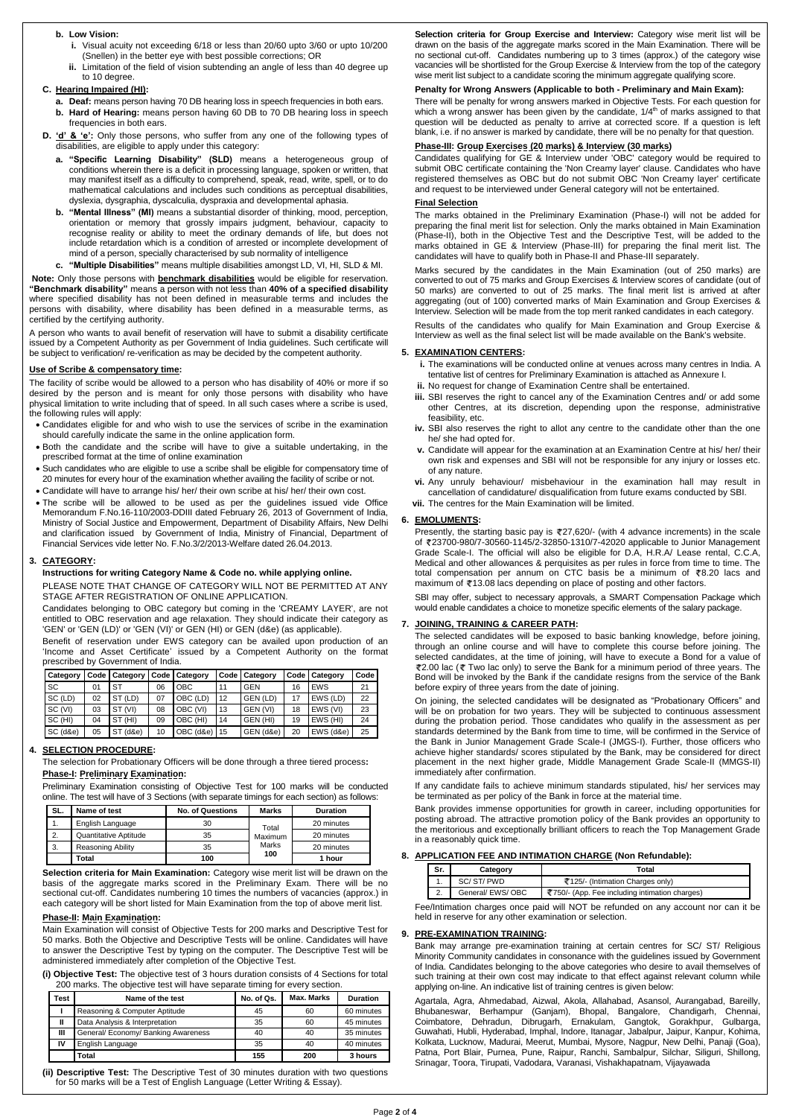#### **b. Low Vision:**

- **i.** Visual acuity not exceeding 6/18 or less than 20/60 upto 3/60 or upto 10/200 (Snellen) in the better eye with best possible corrections; OR
- **ii.** Limitation of the field of vision subtending an angle of less than 40 degree up to 10 degree.

#### **C. Hearing Impaired (HI):**

- **a. Deaf:** means person having 70 DB hearing loss in speech frequencies in both ears.
- **b. Hard of Hearing:** means person having 60 DB to 70 DB hearing loss in speech frequencies in both ears.
- **D. 'd' & 'e':** Only those persons, who suffer from any one of the following types of disabilities, are eligible to apply under this category:
	- **a. "Specific Learning Disability" (SLD)** means a heterogeneous group of conditions wherein there is a deficit in processing language, spoken or written, that may manifest itself as a difficulty to comprehend, speak, read, write, spell, or to do mathematical calculations and includes such conditions as perceptual disabilities, dyslexia, dysgraphia, dyscalculia, dyspraxia and developmental aphasia.
	- **b. "Mental Illness" (MI)** means a substantial disorder of thinking, mood, perception, orientation or memory that grossly impairs judgment, behaviour, capacity to recognise reality or ability to meet the ordinary demands of life, but does not include retardation which is a condition of arrested or incomplete development of mind of a person, specially characterised by sub normality of intelligence
	- **c. "Multiple Disabilities"** means multiple disabilities amongst LD, VI, HI, SLD & MI.

**Note:** Only those persons with **benchmark disabilities** would be eligible for reservation. **"Benchmark disability"** means a person with not less than **40% of a specified disability** where specified disability has not been defined in measurable terms and includes the persons with disability, where disability has been defined in a measurable terms, as certified by the certifying authority.

A person who wants to avail benefit of reservation will have to submit a disability certificate issued by a Competent Authority as per Government of India guidelines. Such certificate will be subject to verification/ re-verification as may be decided by the competent authority.

#### **Use of Scribe & compensatory time:**

The facility of scribe would be allowed to a person who has disability of 40% or more if so desired by the person and is meant for only those persons with disability who have physical limitation to write including that of speed. In all such cases where a scribe is used, the following rules will apply:

- Candidates eligible for and who wish to use the services of scribe in the examination should carefully indicate the same in the online application form.
- Both the candidate and the scribe will have to give a suitable undertaking, in the prescribed format at the time of online examination
- Such candidates who are eligible to use a scribe shall be eligible for compensatory time of 20 minutes for every hour of the examination whether availing the facility of scribe or not.
- Candidate will have to arrange his/ her/ their own scribe at his/ her/ their own cost.
- The scribe will be allowed to be used as per the guidelines issued vide Office Memorandum F.No.16-110/2003-DDIII dated February 26, 2013 of Government of India, Ministry of Social Justice and Empowerment, Department of Disability Affairs, New Delhi and clarification issued by Government of India, Ministry of Financial, Department of Financial Services vide letter No. F.No.3/2/2013-Welfare dated 26.04.2013.

#### **3. CATEGORY:**

#### **Instructions for writing Category Name & Code no. while applying online.**

PLEASE NOTE THAT CHANGE OF CATEGORY WILL NOT BE PERMITTED AT ANY STAGE AFTER REGISTRATION OF ONLINE APPLICATION.

Candidates belonging to OBC category but coming in the 'CREAMY LAYER', are not entitled to OBC reservation and age relaxation. They should indicate their category as 'GEN' or 'GEN (LD)' or 'GEN (VI)' or GEN (HI) or GEN (d&e) (as applicable).

Benefit of reservation under EWS category can be availed upon production of an 'Income and Asset Certificate' issued by a Competent Authority on the format prescribed by Government of India.

| Category  |    | Code   Category |    | Code   Category |    | Code   Category |    | Code   Category | Code |
|-----------|----|-----------------|----|-----------------|----|-----------------|----|-----------------|------|
| <b>SC</b> | 01 | ST              | 06 | <b>OBC</b>      | 11 | <b>GEN</b>      | 16 | <b>EWS</b>      | 21   |
| SC (LD)   | 02 | ST (LD)         | 07 | OBC (LD)        | 12 | GEN (LD)        | 17 | EWS (LD)        | 22   |
| SC (VI)   | 03 | ST (VI)         | 08 | OBC (VI)        | 13 | GEN (VI)        | 18 | EWS (VI)        | 23   |
| SC (HI)   | 04 | ST (HI)         | 09 | OBC (HI)        | 14 | GEN (HI)        | 19 | EWS (HI)        | 24   |
| SC (d&e)  | 05 | ST (d&e)        | 10 | OBC (d&e)       | 15 | GEN (d&e)       | 20 | EWS (d&e)       | 25   |

#### **4. SELECTION PROCEDURE:**

The selection for Probationary Officers will be done through a three tiered process**: Phase-I: Preliminary Examination:**

Preliminary Examination consisting of Objective Test for 100 marks will be conducted online. The test will have of 3 Sections (with separate timings for each section) as follows:

| SL.              | Name of test                 | <b>No. of Questions</b> | <b>Marks</b> | <b>Duration</b> |
|------------------|------------------------------|-------------------------|--------------|-----------------|
| $\overline{1}$ . | English Language             | 30                      | Total        | 20 minutes      |
| 2.               | <b>Quantitative Aptitude</b> | 35                      | Maximum      | 20 minutes      |
| 3.               | <b>Reasoning Ability</b>     | 35                      | Marks        | 20 minutes      |
|                  | Total                        | 100                     | 100          | 1 hour          |

**Selection criteria for Main Examination:** Category wise merit list will be drawn on the basis of the aggregate marks scored in the Preliminary Exam. There will be no sectional cut-off. Candidates numbering 10 times the numbers of vacancies (approx.) in each category will be short listed for Main Examination from the top of above merit list.

#### **Phase-II: Main Examination:**

Main Examination will consist of Objective Tests for 200 marks and Descriptive Test for 50 marks. Both the Objective and Descriptive Tests will be online. Candidates will have to answer the Descriptive Test by typing on the computer. The Descriptive Test will be administered immediately after completion of the Objective Test.

**(i) Objective Test:** The objective test of 3 hours duration consists of 4 Sections for total 200 marks. The objective test will have separate timing for every section.

| Test | Name of the test                  | No. of Qs. | <b>Max. Marks</b> | <b>Duration</b> |
|------|-----------------------------------|------------|-------------------|-----------------|
|      | Reasoning & Computer Aptitude     | 45         | 60                | 60 minutes      |
| Ш    | Data Analysis & Interpretation    | 35         | 60                | 45 minutes      |
| Ш    | General/Economy/Banking Awareness | 40         | 40                | 35 minutes      |
| IV   | English Language                  | 35         | 40                | 40 minutes      |
|      | Total                             | 155        | 200               | 3 hours         |

**(ii) Descriptive Test:** The Descriptive Test of 30 minutes duration with two questions for 50 marks will be a Test of English Language (Letter Writing & Essay).

**Selection criteria for Group Exercise and Interview:** Category wise merit list will be drawn on the basis of the aggregate marks scored in the Main Examination. There will be no sectional cut-off. Candidates numbering up to 3 times (approx.) of the category wise vacancies will be shortlisted for the Group Exercise & Interview from the top of the category wise merit list subject to a candidate scoring the minimum aggregate qualifying score.

### **Penalty for Wrong Answers (Applicable to both - Preliminary and Main Exam):**

There will be penalty for wrong answers marked in Objective Tests. For each question for which a wrong answer has been given by the candidate,  $1/4<sup>th</sup>$  of marks assigned to that question will be deducted as penalty to arrive at corrected score. If a question is left blank, i.e. if no answer is marked by candidate, there will be no penalty for that question.

#### **Phase-III: Group Exercises (20 marks) & Interview (30 marks)**

Candidates qualifying for GE & Interview under 'OBC' category would be required to submit OBC certificate containing the 'Non Creamy layer' clause. Candidates who have registered themselves as OBC but do not submit OBC 'Non Creamy layer' certificate and request to be interviewed under General category will not be entertained.

#### **Final Selection**

The marks obtained in the Preliminary Examination (Phase-I) will not be added for preparing the final merit list for selection. Only the marks obtained in Main Examination (Phase-II), both in the Objective Test and the Descriptive Test, will be added to the marks obtained in GE & Interview (Phase-III) for preparing the final merit list. The candidates will have to qualify both in Phase-II and Phase-III separately.

Marks secured by the candidates in the Main Examination (out of 250 marks) are converted to out of 75 marks and Group Exercises & Interview scores of candidate (out of 50 marks) are converted to out of 25 marks. The final merit list is arrived at after aggregating (out of 100) converted marks of Main Examination and Group Exercises & Interview. Selection will be made from the top merit ranked candidates in each category.

Results of the candidates who qualify for Main Examination and Group Exercise & Interview as well as the final select list will be made available on the Bank's website.

#### **5. EXAMINATION CENTERS:**

**i.** The examinations will be conducted online at venues across many centres in India. A tentative list of centres for Preliminary Examination is attached as Annexure I.

- **ii.** No request for change of Examination Centre shall be entertained.
- **iii.** SBI reserves the right to cancel any of the Examination Centres and/ or add some other Centres, at its discretion, depending upon the response, administrative feasibility, etc.
- **iv.** SBI also reserves the right to allot any centre to the candidate other than the one he/ she had opted for.
- **v.** Candidate will appear for the examination at an Examination Centre at his/ her/ their own risk and expenses and SBI will not be responsible for any injury or losses etc. of any nature.
- **vi.** Any unruly behaviour/ misbehaviour in the examination hall may result in cancellation of candidature/ disqualification from future exams conducted by SBI.
- **vii.** The centres for the Main Examination will be limited.

#### **6. EMOLUMENTS:**

Presently, the starting basic pay is  $27,620/$  (with 4 advance increments) in the scale of 23700-980/7-30560-1145/2-32850-1310/7-42020 applicable to Junior Management Grade Scale-I. The official will also be eligible for D.A, H.R.A/ Lease rental, C.C.A, Medical and other allowances & perquisites as per rules in force from time to time. The total compensation per annum on CTC basis be a minimum of  $\overline{*}8.20$  lacs and maximum of ₹13.08 lacs depending on place of posting and other factors.

SBI may offer, subject to necessary approvals, a SMART Compensation Package which would enable candidates a choice to monetize specific elements of the salary package.

### **7. JOINING, TRAINING & CAREER PATH:**

The selected candidates will be exposed to basic banking knowledge, before joining, through an online course and will have to complete this course before joining. The selected candidates, at the time of joining, will have to execute a Bond for a value of ₹2.00 lac (₹ Two lac only) to serve the Bank for a minimum period of three years. The Bond will be invoked by the Bank if the candidate resigns from the service of the Bank before expiry of three years from the date of joining.

On joining, the selected candidates will be designated as "Probationary Officers" and will be on probation for two years. They will be subjected to continuous assessment during the probation period. Those candidates who qualify in the assessment as per standards determined by the Bank from time to time, will be confirmed in the Service of the Bank in Junior Management Grade Scale-I (JMGS-I). Further, those officers who achieve higher standards/ scores stipulated by the Bank, may be considered for direct placement in the next higher grade, Middle Management Grade Scale-II (MMGS-II) immediately after confirmation.

If any candidate fails to achieve minimum standards stipulated, his/ her services may be terminated as per policy of the Bank in force at the material time.

Bank provides immense opportunities for growth in career, including opportunities for posting abroad. The attractive promotion policy of the Bank provides an opportunity to the meritorious and exceptionally brilliant officers to reach the Top Management Grade in a reasonably quick time.

#### **8. APPLICATION FEE AND INTIMATION CHARGE (Non Refundable):**

| 'Sr. | Category         | Total                                          |  |
|------|------------------|------------------------------------------------|--|
|      | SC/ST/PWD        | ₹125/- (Intimation Charges only)               |  |
|      | General/ EWS/OBC | ₹750/- (App. Fee including intimation charges) |  |

Fee/Intimation charges once paid will NOT be refunded on any account nor can it be held in reserve for any other examination or selection.

#### **9. PRE-EXAMINATION TRAINING:**

Bank may arrange pre-examination training at certain centres for SC/ ST/ Religious Minority Community candidates in consonance with the guidelines issued by Government of India. Candidates belonging to the above categories who desire to avail themselves of such training at their own cost may indicate to that effect against relevant column while applying on-line. An indicative list of training centres is given below:

Agartala, Agra, Ahmedabad, Aizwal, Akola, Allahabad, Asansol, Aurangabad, Bareilly, Bhubaneswar, Berhampur (Ganjam), Bhopal, Bangalore, Chandigarh, Chennai, Coimbatore, Dehradun, Dibrugarh, Ernakulam, Gangtok, Gorakhpur, Gulbarga, Guwahati, Hubli, Hyderabad, Imphal, Indore, Itanagar, Jabalpur, Jaipur, Kanpur, Kohima, Kolkata, Lucknow, Madurai, Meerut, Mumbai, Mysore, Nagpur, New Delhi, Panaji (Goa), Patna, Port Blair, Purnea, Pune, Raipur, Ranchi, Sambalpur, Silchar, Siliguri, Shillong, Srinagar, Toora, Tirupati, Vadodara, Varanasi, Vishakhapatnam, Vijayawada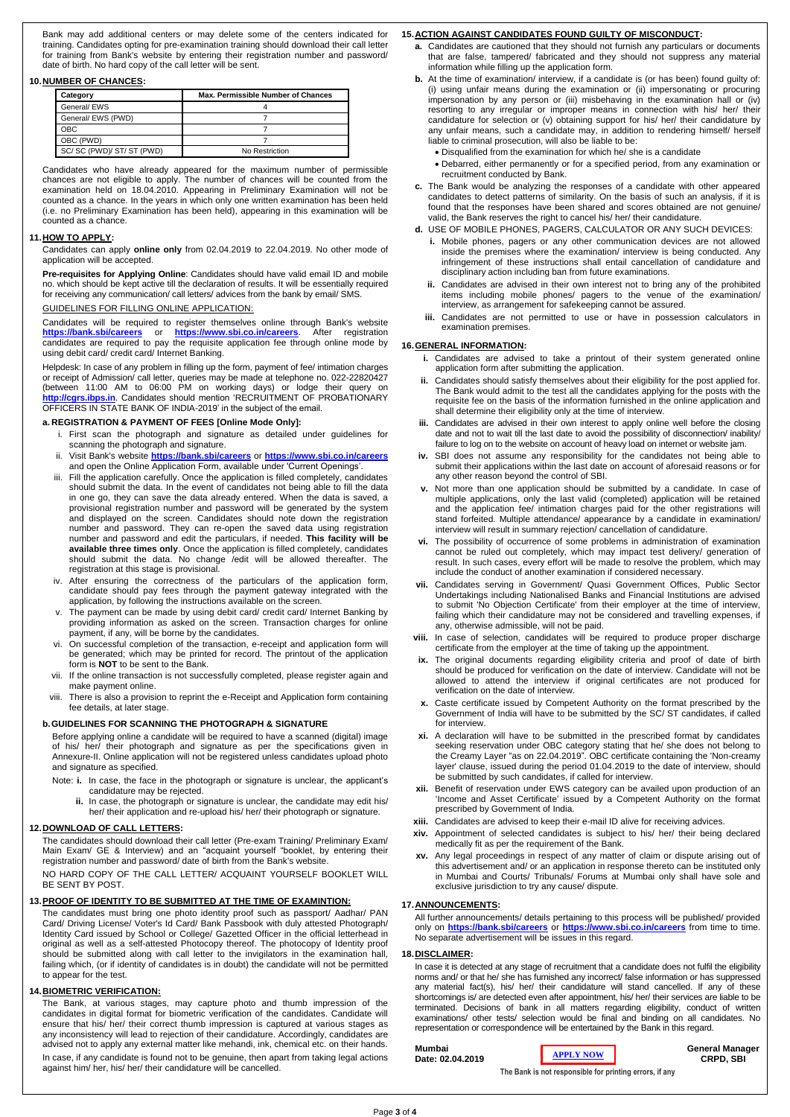Bank may add additional centers or may delete some of the centers indicated for training. Candidates opting for pre-examination training should download their call letter for training from Bank's website by entering their registration number and password/ date of birth. No hard copy of the call letter will be sent.

#### **10.NUMBER OF CHANCES:**

| Category                | Max. Permissible Number of Chances |  |  |
|-------------------------|------------------------------------|--|--|
| General/ EWS            |                                    |  |  |
| General/ EWS (PWD)      |                                    |  |  |
| OBC.                    |                                    |  |  |
| OBC (PWD)               |                                    |  |  |
| SC/SC (PWD)/ST/ST (PWD) | No Restriction                     |  |  |

Candidates who have already appeared for the maximum number of permissible chances are not eligible to apply. The number of chances will be counted from the examination held on 18.04.2010. Appearing in Preliminary Examination will not be counted as a chance. In the years in which only one written examination has been held (i.e. no Preliminary Examination has been held), appearing in this examination will be counted as a chance.

#### **11.HOW TO APPLY:**

Candidates can apply **online only** from 02.04.2019 to 22.04.2019. No other mode of application will be accepted.

**Pre-requisites for Applying Online**: Candidates should have valid email ID and mobile no. which should be kept active till the declaration of results. It will be essentially required for receiving any communication/ call letters/ advices from the bank by email/ SMS.

#### GUIDELINES FOR FILLING ONLINE APPLICATION:

Candidates will be required to register themselves online through Bank's website **<https://bank.sbi/careers>** or **<https://www.sbi.co.in/careers>**. After registration candidates are required to pay the requisite application fee through online mode by using debit card/ credit card/ Internet Banking.

Helpdesk: In case of any problem in filling up the form, payment of fee/ intimation charges or receipt of Admission/ call letter, queries may be made at telephone no. 022-22820427 (between 11:00 AM to 06:00 PM on working days) or lodge their query on **[http://cgrs.ibps.in](http://cgrs.ibps.in/)**. Candidates should mention 'RECRUITMENT OF PROBATIONARY OFFICERS IN STATE BANK OF INDIA-2019' in the subject of the email.

#### **a. REGISTRATION & PAYMENT OF FEES [Online Mode Only]:**

- i. First scan the photograph and signature as detailed under guidelines for scanning the photograph and signature.
- ii. Visit Bank's website **<https://bank.sbi/careers>** or **<https://www.sbi.co.in/careers>** and open the Online Application Form, available under 'Current Openings'.
- iii. Fill the application carefully. Once the application is filled completely, candidates should submit the data. In the event of candidates not being able to fill the data in one go, they can save the data already entered. When the data is saved, a provisional registration number and password will be generated by the system and displayed on the screen. Candidates should note down the registration number and password. They can re-open the saved data using registration number and password and edit the particulars, if needed. **This facility will be available three times only**. Once the application is filled completely, candidates should submit the data. No change /edit will be allowed thereafter. The registration at this stage is provisional.
- iv. After ensuring the correctness of the particulars of the application form, candidate should pay fees through the payment gateway integrated with the application, by following the instructions available on the screen.
- v. The payment can be made by using debit card/ credit card/ Internet Banking by providing information as asked on the screen. Transaction charges for online payment, if any, will be borne by the candidates.
- vi. On successful completion of the transaction, e-receipt and application form will be generated; which may be printed for record. The printout of the application form is **NOT** to be sent to the Bank.
- vii. If the online transaction is not successfully completed, please register again and make payment online.
- viii. There is also a provision to reprint the e-Receipt and Application form containing fee details, at later stage.

#### **b.GUIDELINES FOR SCANNING THE PHOTOGRAPH & SIGNATURE**

Before applying online a candidate will be required to have a scanned (digital) image of his/ her/ their photograph and signature as per the specifications given in Annexure-II. Online application will not be registered unless candidates upload photo and signature as specified.

- Note: **i.** In case, the face in the photograph or signature is unclear, the applicant's candidature may be rejected.
	- **ii.** In case, the photograph or signature is unclear, the candidate may edit his/ her/ their application and re-upload his/ her/ their photograph or signature.

#### **12.DOWNLOAD OF CALL LETTERS:**

The candidates should download their call letter (Pre-exam Training/ Preliminary Exam/ Main Exam/ GE & Interview) and an "acquaint yourself "booklet, by entering their registration number and password/ date of birth from the Bank's website.

NO HARD COPY OF THE CALL LETTER/ ACQUAINT YOURSELF BOOKLET WILL BE SENT BY POST.

#### **13.PROOF OF IDENTITY TO BE SUBMITTED AT THE TIME OF EXAMINTION:**

The candidates must bring one photo identity proof such as passport/ Aadhar/ PAN Card/ Driving License/ Voter's Id Card/ Bank Passbook with duly attested Photograph/ Identity Card issued by School or College/ Gazetted Officer in the official letterhead in original as well as a self-attested Photocopy thereof. The photocopy of Identity proof should be submitted along with call letter to the invigilators in the examination hall, failing which, (or if identity of candidates is in doubt) the candidate will not be permitted to appear for the test.

#### **14.BIOMETRIC VERIFICATION:**

The Bank, at various stages, may capture photo and thumb impression of the candidates in digital format for biometric verification of the candidates. Candidate will ensure that his/ her/ their correct thumb impression is captured at various stages as any inconsistency will lead to rejection of their candidature. Accordingly, candidates are advised not to apply any external matter like mehandi, ink, chemical etc. on their hands. In case, if any candidate is found not to be genuine, then apart from taking legal actions

against him/ her, his/ her/ their candidature will be cancelled.

### **15.ACTION AGAINST CANDIDATES FOUND GUILTY OF MISCONDUCT:**

- **a.** Candidates are cautioned that they should not furnish any particulars or documents that are false, tampered/ fabricated and they should not suppress any material information while filling up the application form.
- **b.** At the time of examination/ interview, if a candidate is (or has been) found guilty of: (i) using unfair means during the examination or (ii) impersonating or procuring impersonation by any person or (iii) misbehaving in the examination hall or (iv) resorting to any irregular or improper means in connection with his/ her/ their candidature for selection or (v) obtaining support for his/ her/ their candidature by any unfair means, such a candidate may, in addition to rendering himself/ herself liable to criminal prosecution, will also be liable to be:
	- Disqualified from the examination for which he/ she is a candidate
	- Debarred, either permanently or for a specified period, from any examination or recruitment conducted by Bank.
- **c.** The Bank would be analyzing the responses of a candidate with other appeared candidates to detect patterns of similarity. On the basis of such an analysis, if it is found that the responses have been shared and scores obtained are not genuine/ valid, the Bank reserves the right to cancel his/ her/ their candidature.
- **d.** USE OF MOBILE PHONES, PAGERS, CALCULATOR OR ANY SUCH DEVICES:
	- **i.** Mobile phones, pagers or any other communication devices are not allowed inside the premises where the examination/ interview is being conducted. Any infringement of these instructions shall entail cancellation of candidature and disciplinary action including ban from future examinations.
	- **ii.** Candidates are advised in their own interest not to bring any of the prohibited items including mobile phones/ pagers to the venue of the examination/ interview, as arrangement for safekeeping cannot be assured.
	- **iii.** Candidates are not permitted to use or have in possession calculators in examination premises.

#### **16.GENERAL INFORMATION:**

- **i.** Candidates are advised to take a printout of their system generated online application form after submitting the application.
- **ii.** Candidates should satisfy themselves about their eligibility for the post applied for. The Bank would admit to the test all the candidates applying for the posts with the requisite fee on the basis of the information furnished in the online application and shall determine their eligibility only at the time of interview.
- **iii.** Candidates are advised in their own interest to apply online well before the closing date and not to wait till the last date to avoid the possibility of disconnection/ inability/ failure to log on to the website on account of heavy load on internet or website jam.
- **iv.** SBI does not assume any responsibility for the candidates not being able to submit their applications within the last date on account of aforesaid reasons or for any other reason beyond the control of SBI.
- **v.** Not more than one application should be submitted by a candidate. In case of multiple applications, only the last valid (completed) application will be retained and the application fee/ intimation charges paid for the other registrations will stand forfeited. Multiple attendance/ appearance by a candidate in examination/ interview will result in summary rejection/ cancellation of candidature.
- **vi.** The possibility of occurrence of some problems in administration of examination cannot be ruled out completely, which may impact test delivery/ generation of result. In such cases, every effort will be made to resolve the problem, which may include the conduct of another examination if considered necessary.
- **vii.** Candidates serving in Government/ Quasi Government Offices, Public Sector Undertakings including Nationalised Banks and Financial Institutions are advised to submit 'No Objection Certificate' from their employer at the time of interview, failing which their candidature may not be considered and travelling expenses, if any, otherwise admissible, will not be paid.
- **viii.** In case of selection, candidates will be required to produce proper discharge certificate from the employer at the time of taking up the appointment.
- **ix.** The original documents regarding eligibility criteria and proof of date of birth should be produced for verification on the date of interview. Candidate will not be allowed to attend the interview if original certificates are not produced for verification on the date of interview.
- **x.** Caste certificate issued by Competent Authority on the format prescribed by the Government of India will have to be submitted by the SC/ ST candidates, if called for interview.
- **xi.** A declaration will have to be submitted in the prescribed format by candidates seeking reservation under OBC category stating that he/ she does not belong to the Creamy Layer "as on 22.04.2019". OBC certificate containing the 'Non-creamy layer' clause, issued during the period 01.04.2019 to the date of interview, should be submitted by such candidates, if called for interview.
- **xii.** Benefit of reservation under EWS category can be availed upon production of an 'Income and Asset Certificate' issued by a Competent Authority on the format prescribed by Government of India.
- **xiii.** Candidates are advised to keep their e-mail ID alive for receiving advices.
- **xiv.** Appointment of selected candidates is subject to his/ her/ their being declared
- medically fit as per the requirement of the Bank.
- **xv.** Any legal proceedings in respect of any matter of claim or dispute arising out of this advertisement and/ or an application in response thereto can be instituted only in Mumbai and Courts/ Tribunals/ Forums at Mumbai only shall have sole and exclusive jurisdiction to try any cause/ dispute.

#### **17.ANNOUNCEMENTS:**

All further announcements/ details pertaining to this process will be published/ provided only on **<https://bank.sbi/careers>** or **<https://www.sbi.co.in/careers>** from time to time. No separate advertisement will be issues in this regard.

#### **18.DISCLAIMER:**

In case it is detected at any stage of recruitment that a candidate does not fulfil the eligibility norms and/ or that he/ she has furnished any incorrect/ false information or has suppressed any material fact(s), his/ her/ their candidature will stand cancelled. If any of these shortcomings is/ are detected even after appointment, his/ her/ their services are liable to be terminated. Decisions of bank in all matters regarding eligibility, conduct of written examinations/ other tests/ selection would be final and binding on all candidates. No representation or correspondence will be entertained by the Bank in this regard.

#### **Mumbai Date: 02.04.2019**

**General Manager CRPD, SBI**

**The Bank is not responsible for printing errors, if any**

**[APPLY](https://ibpsonline.ibps.in/sbiposmar19/) NOW**